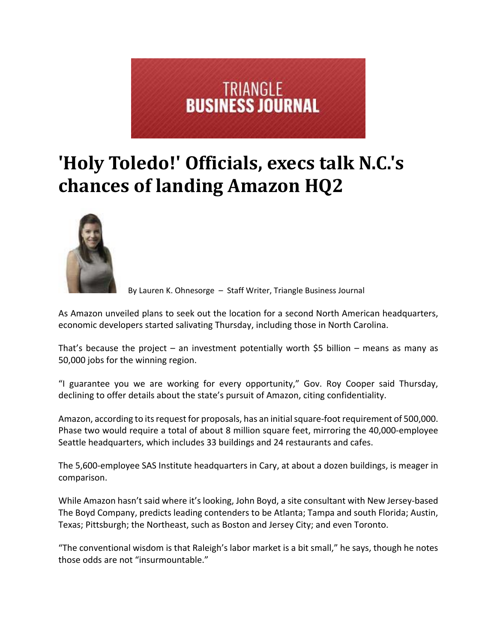

## **'Holy Toledo!' Officials, execs talk N.C.'s chances of landing Amazon HQ2**



By Lauren K. Ohnesorge – Staff Writer, Triangle Business Journal

As Amazon unveiled plans to seek out the location for a second North American headquarters, economic developers started salivating Thursday, including those in North Carolina.

That's because the project – an investment potentially worth \$5 billion – means as many as 50,000 jobs for the winning region.

"I guarantee you we are working for every opportunity," Gov. Roy Cooper said Thursday, declining to offer details about the state's pursuit of Amazon, citing confidentiality.

Amazon, according to its request for proposals, has an initial square-foot requirement of 500,000. Phase two would require a total of about 8 million square feet, mirroring the 40,000-employee Seattle headquarters, which includes 33 buildings and 24 restaurants and cafes.

The 5,600-employee SAS Institute headquarters in Cary, at about a dozen buildings, is meager in comparison.

While Amazon hasn't said where it's looking, John Boyd, a site consultant with New Jersey‐based The Boyd Company, predicts leading contenders to be Atlanta; Tampa and south Florida; Austin, Texas; Pittsburgh; the Northeast, such as Boston and Jersey City; and even Toronto.

"The conventional wisdom is that Raleigh's labor market is a bit small," he says, though he notes those odds are not "insurmountable."